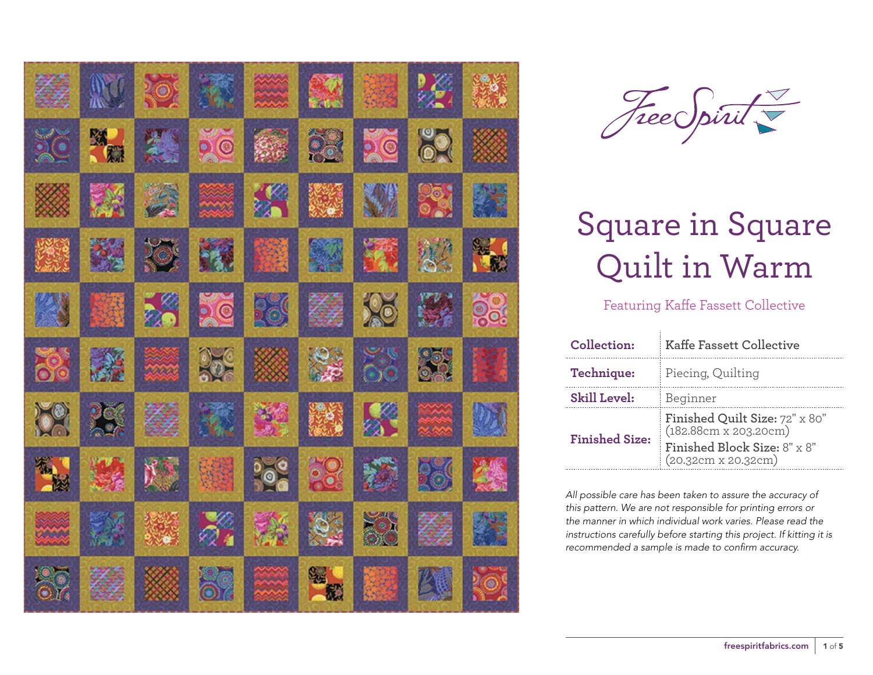| Z.        | M              | ROC              | 繁               |                           | 23                          |           | $\mathscr{L}_1$ | 海军          |
|-----------|----------------|------------------|-----------------|---------------------------|-----------------------------|-----------|-----------------|-------------|
| <b>XC</b> | <b>RATION</b>  | 类                | 50              | 多家                        | 23                          | DIC       | 82              | ▓           |
|           | EX             |                  | XX              | $\mathbb{Z}^{\mathbb{Z}}$ |                             | XV        | 8               | 数           |
| 大家        | 鳞              | $\sum_{i=1}^{n}$ | 科               | 美                         | 54                          | 灏         | 汉               | <b>SASE</b> |
| 燃         | 高潮             | 26               | DO              | <b>DES</b>                | 縩                           | <b>RO</b> | 經               | 38          |
| 8         | 一              | min              | 25 <sup>o</sup> |                           | $\mathcal{L}_{\mathcal{D}}$ | 5         | 3               | 降り          |
| <b>DR</b> | $\frac{1}{2}$  | Z,               | 撚               | 鞠                         | 深度                          | X         | an Kal          | DA          |
| 独想        | 竖              | N Y              |                 | $\frac{1}{2}$             | 28                          | ៊         | Re              | 然           |
| xx        | $\mathbb{Z}^M$ |                  | ó.              |                           | $\hat{p}$                   | <b>DE</b> | 縩               |             |
| <b>OV</b> |                |                  | <b>199</b>      | $\mathbb{R}$              | Star Re                     |           | 四               | ROA         |



### Featuring Kaffe Fassett Collective

| Collection:           | <b>Kaffe Fassett Collective</b>                         |  |  |  |
|-----------------------|---------------------------------------------------------|--|--|--|
| Technique:            | Piecing, Quilting                                       |  |  |  |
| <b>Skill Level:</b>   | Beginner                                                |  |  |  |
| <b>Finished Size:</b> | Finished Quilt Size: 72" x 80"<br>(182.88cm x 203.20cm) |  |  |  |
|                       | Finished Block Size: 8" x 8"<br>(20.32cm x 20.32cm)     |  |  |  |

*All possible care has been taken to assure the accuracy of this pattern. We are not responsible for printing errors or the manner in which individual work varies. Please read the instructions carefully before starting this project. If kitting it is recommended a sample is made to confirm accuracy.*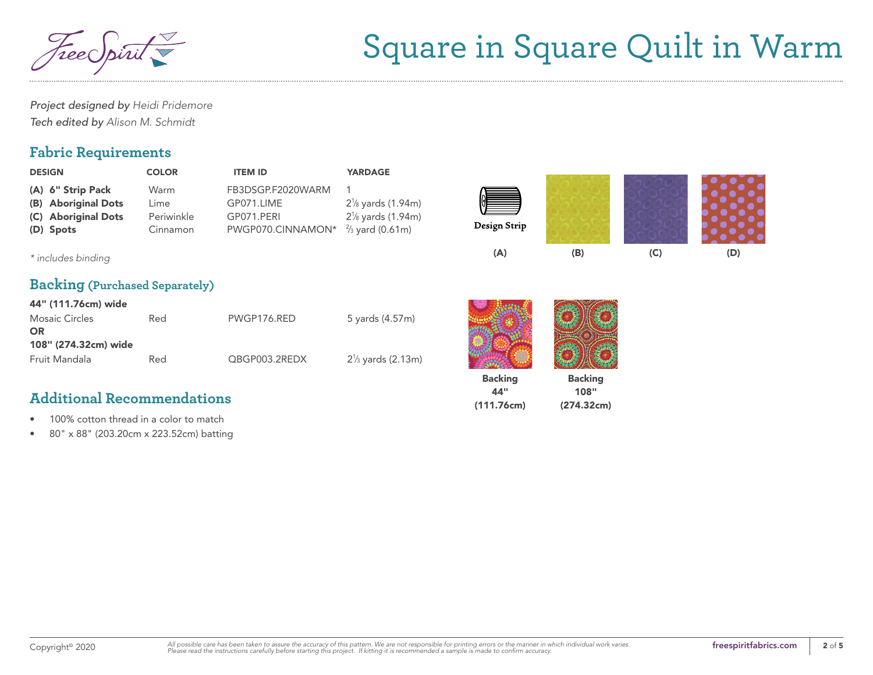

108" (274.32cm)

*Project designed by Heidi Pridemore Tech edited by Alison M. Schmidt*

### **Fabric Requirements**

| <b>DESIGN</b>                                                                | <b>COLOR</b>                           | <b>ITEM ID</b>                                                     | <b>YARDAGE</b>                                                                             |                |                |     |     |
|------------------------------------------------------------------------------|----------------------------------------|--------------------------------------------------------------------|--------------------------------------------------------------------------------------------|----------------|----------------|-----|-----|
| (A) 6" Strip Pack<br>(B) Aboriginal Dots<br>(C) Aboriginal Dots<br>(D) Spots | Warm<br>Lime<br>Periwinkle<br>Cinnamon | FB3DSGP.F2020WARM<br>GP071.LIME<br>GP071.PERI<br>PWGP070.CINNAMON* | $2\frac{1}{8}$ yards (1.94m)<br>$2\frac{1}{8}$ yards (1.94m)<br>$\frac{2}{3}$ yard (0.61m) | Design Strip   |                |     |     |
| * includes binding                                                           |                                        |                                                                    |                                                                                            | (A)            | (B)            | (C) | (D) |
| <b>Backing (Purchased Separately)</b>                                        |                                        |                                                                    |                                                                                            |                |                |     |     |
| 44" (111.76cm) wide                                                          |                                        |                                                                    |                                                                                            |                |                |     |     |
| <b>Mosaic Circles</b><br><b>OR</b>                                           | Red                                    | PWGP176.RED                                                        | 5 yards (4.57m)                                                                            |                |                |     |     |
| 108" (274.32cm) wide                                                         |                                        |                                                                    |                                                                                            |                |                |     |     |
| Fruit Mandala                                                                | Red                                    | QBGP003.2REDX                                                      | $2\frac{1}{3}$ yards (2.13m)                                                               |                |                |     |     |
|                                                                              |                                        |                                                                    |                                                                                            | <b>Backing</b> | <b>Backing</b> |     |     |

44" (111.76cm)

### **Additional Recommendations**

- 100% cotton thread in a color to match
- 80" x 88" (203.20cm x 223.52cm) batting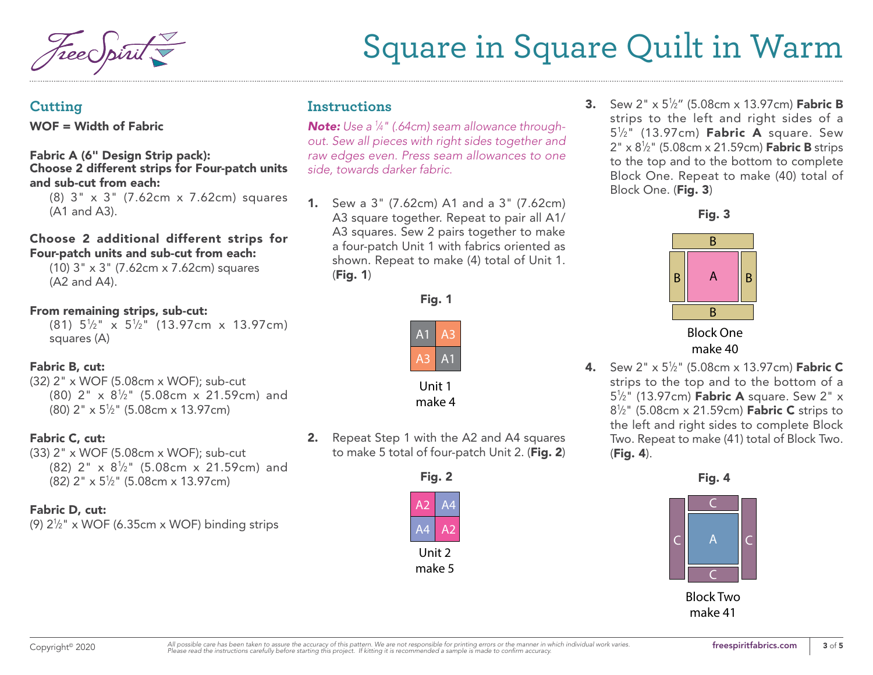#### **Cutting**

WOF = Width of Fabric

#### Fabric A (6" Design Strip pack): Choose 2 different strips for Four-patch units and sub-cut from each:

(8) 3" x 3" (7.62cm x 7.62cm) squares (A1 and A3).

#### Choose 2 additional different strips for Four-patch units and sub-cut from each:

(10) 3" x 3" (7.62cm x 7.62cm) squares (A2 and A4).

#### From remaining strips, sub-cut:

 $(81)$   $5\frac{1}{2}$ "  $\times$   $5\frac{1}{2}$ "  $(13.97cm)$   $\times$  13.97cm) squares (A)

#### Fabric B, cut:

(32) 2" x WOF (5.08cm x WOF); sub-cut  $(80)$  2" x  $8\frac{1}{2}$ " (5.08cm x 21.59cm) and (80) 2" x 51 ⁄2" (5.08cm x 13.97cm)

#### Fabric C, cut:

(33) 2" x WOF (5.08cm x WOF); sub-cut  $(82)$  2" x  $8\frac{1}{2}$ " (5.08cm x 21.59cm) and (82) 2" x 51 ⁄2" (5.08cm x 13.97cm)

#### Fabric D, cut:

(9) 21 ⁄2" x WOF (6.35cm x WOF) binding strips

### **Instructions**

*Note: Use a 1 ⁄4" (.64cm) seam allowance throughout. Sew all pieces with right sides together and raw edges even. Press seam allowances to one side, towards darker fabric.*

1. Sew a 3" (7.62cm) A1 and a 3" (7.62cm) A3 square together. Repeat to pair all A1/ A3 squares. Sew 2 pairs together to make a four-patch Unit 1 with fabrics oriented as shown. Repeat to make (4) total of Unit 1. (Fig. 1)





Unit 1 make 4

2. Repeat Step 1 with the A2 and A4 squares to make 5 total of four-patch Unit 2. (Fig. 2)



**3.** Sew 2" x 5½" (5.08cm x 13.97cm) **Fabric B** strips to the left and right sides of a 5<sup>1</sup>/<sub>2</sub>" (13.97cm) **Fabric A** square. Sew 2" x 8½" (5.08cm x 21.59cm) **Fabric B** strips to the top and to the bottom to complete Block One. Repeat to make (40) total of Block One. (Fig. 3)



make 40

**4.** Sew 2" x 5½" (5.08cm x 13.97cm) **Fabric C** strips to the top and to the bottom of a 5<sup>1</sup>/<sub>2</sub>" (13.97cm) **Fabric A** square. Sew 2" x 8½" (5.08cm x 21.59cm) **Fabric C** strips to the left and right sides to complete Block Two. Repeat to make (41) total of Block Two. (Fig. 4).

Fig. 4 Fig. 4



Block Two make 41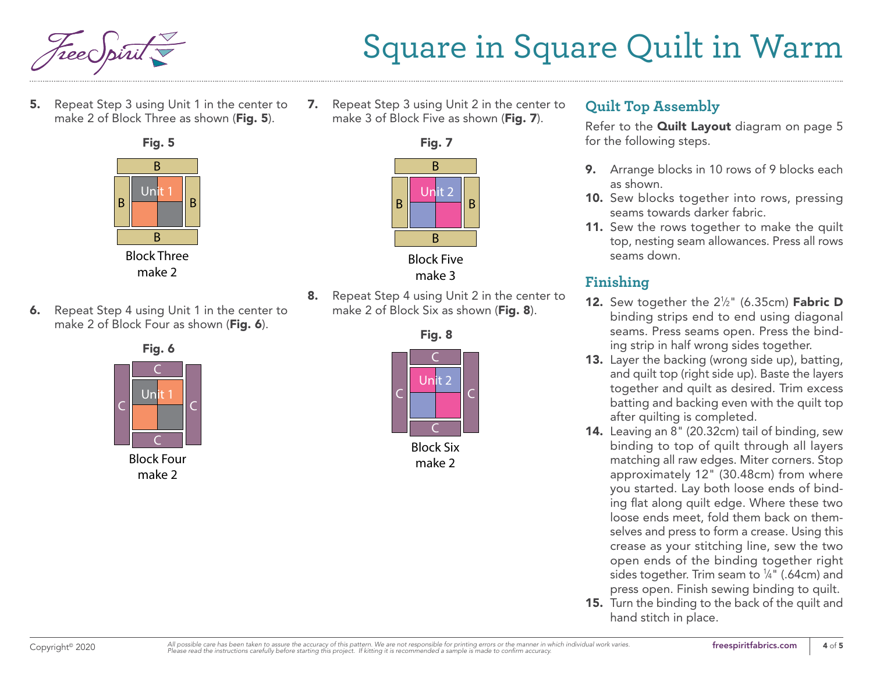

5. Repeat Step 3 using Unit 1 in the center to make 2 of Block Three as shown (Fig. 5).



make 2

6. Repeat Step 4 using Unit 1 in the center to make 2 of Block Four as shown (Fig. 6).



7. Repeat Step 3 using Unit 2 in the center to make 3 of Block Five as shown (Fig. 7).



make 3

8. Repeat Step 4 using Unit 2 in the center to make 2 of Block Six as shown (Fig. 8).



Block Six make 2

### **Quilt Top Assembly**

Refer to the **Quilt Layout** diagram on page 5 for the following steps.

- 9. Arrange blocks in 10 rows of 9 blocks each as shown.
- 10. Sew blocks together into rows, pressing seams towards darker fabric.
- 11. Sew the rows together to make the quilt top, nesting seam allowances. Press all rows seams down.

## **Finishing**

- **12.** Sew together the  $2\frac{1}{2}$ " (6.35cm) **Fabric D** binding strips end to end using diagonal seams. Press seams open. Press the binding strip in half wrong sides together.
- 13. Layer the backing (wrong side up), batting, and quilt top (right side up). Baste the layers together and quilt as desired. Trim excess batting and backing even with the quilt top after quilting is completed.
- 14. Leaving an 8" (20.32cm) tail of binding, sew binding to top of quilt through all layers matching all raw edges. Miter corners. Stop approximately 12" (30.48cm) from where you started. Lay both loose ends of binding flat along quilt edge. Where these two loose ends meet, fold them back on themselves and press to form a crease. Using this crease as your stitching line, sew the two open ends of the binding together right sides together. Trim seam to  $\frac{1}{4}$ " (.64cm) and press open. Finish sewing binding to quilt.
- 15. Turn the binding to the back of the quilt and hand stitch in place.